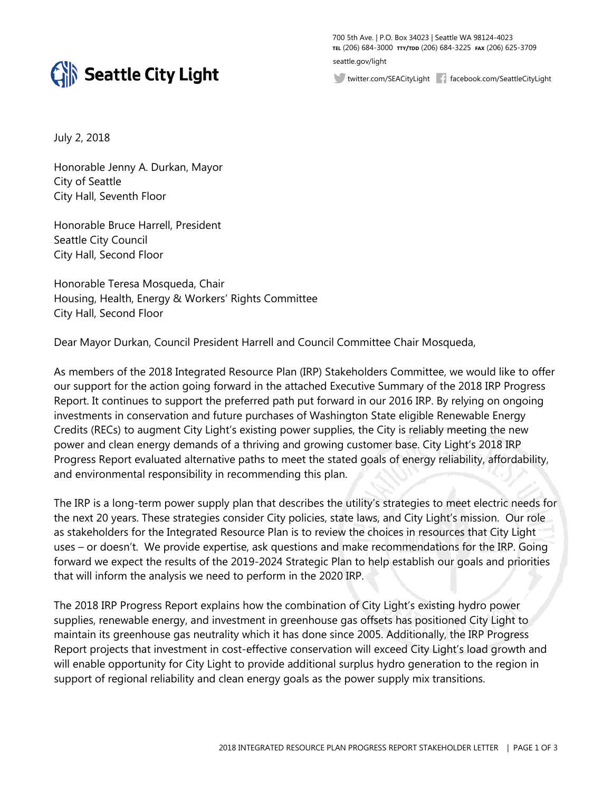

700 5th Ave. | P.O. Box 34023 | Seattle WA 98124-4023 **TEL** (206) 684-3000 **TTY/TDD** (206) 684-3225 **FAX** (206) 625-3709 seattle.gov/light

twitter.com/SEACityLight facebook.com/SeattleCityLight

July 2, 2018

Honorable Jenny A. Durkan, Mayor City of Seattle City Hall, Seventh Floor

Honorable Bruce Harrell, President Seattle City Council City Hall, Second Floor

Honorable Teresa Mosqueda, Chair Housing, Health, Energy & Workers' Rights Committee City Hall, Second Floor

Dear Mayor Durkan, Council President Harrell and Council Committee Chair Mosqueda,

As members of the 2018 Integrated Resource Plan (IRP) Stakeholders Committee, we would like to offer our support for the action going forward in the attached Executive Summary of the 2018 IRP Progress Report. It continues to support the preferred path put forward in our 2016 IRP. By relying on ongoing investments in conservation and future purchases of Washington State eligible Renewable Energy Credits (RECs) to augment City Light's existing power supplies, the City is reliably meeting the new power and clean energy demands of a thriving and growing customer base. City Light's 2018 IRP Progress Report evaluated alternative paths to meet the stated goals of energy reliability, affordability, and environmental responsibility in recommending this plan.

The IRP is a long-term power supply plan that describes the utility's strategies to meet electric needs for the next 20 years. These strategies consider City policies, state laws, and City Light's mission. Our role as stakeholders for the Integrated Resource Plan is to review the choices in resources that City Light uses – or doesn't. We provide expertise, ask questions and make recommendations for the IRP. Going forward we expect the results of the 2019-2024 Strategic Plan to help establish our goals and priorities that will inform the analysis we need to perform in the 2020 IRP.

The 2018 IRP Progress Report explains how the combination of City Light's existing hydro power supplies, renewable energy, and investment in greenhouse gas offsets has positioned City Light to maintain its greenhouse gas neutrality which it has done since 2005. Additionally, the IRP Progress Report projects that investment in cost-effective conservation will exceed City Light's load growth and will enable opportunity for City Light to provide additional surplus hydro generation to the region in support of regional reliability and clean energy goals as the power supply mix transitions.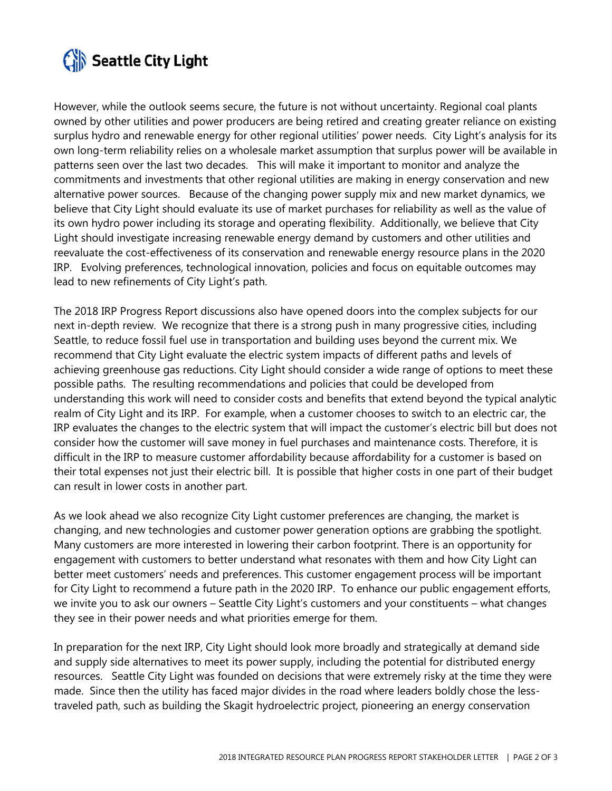

However, while the outlook seems secure, the future is not without uncertainty. Regional coal plants owned by other utilities and power producers are being retired and creating greater reliance on existing surplus hydro and renewable energy for other regional utilities' power needs. City Light's analysis for its own long-term reliability relies on a wholesale market assumption that surplus power will be available in patterns seen over the last two decades. This will make it important to monitor and analyze the commitments and investments that other regional utilities are making in energy conservation and new alternative power sources. Because of the changing power supply mix and new market dynamics, we believe that City Light should evaluate its use of market purchases for reliability as well as the value of its own hydro power including its storage and operating flexibility. Additionally, we believe that City Light should investigate increasing renewable energy demand by customers and other utilities and reevaluate the cost-effectiveness of its conservation and renewable energy resource plans in the 2020 IRP. Evolving preferences, technological innovation, policies and focus on equitable outcomes may lead to new refinements of City Light's path.

The 2018 IRP Progress Report discussions also have opened doors into the complex subjects for our next in-depth review. We recognize that there is a strong push in many progressive cities, including Seattle, to reduce fossil fuel use in transportation and building uses beyond the current mix. We recommend that City Light evaluate the electric system impacts of different paths and levels of achieving greenhouse gas reductions. City Light should consider a wide range of options to meet these possible paths. The resulting recommendations and policies that could be developed from understanding this work will need to consider costs and benefits that extend beyond the typical analytic realm of City Light and its IRP. For example, when a customer chooses to switch to an electric car, the IRP evaluates the changes to the electric system that will impact the customer's electric bill but does not consider how the customer will save money in fuel purchases and maintenance costs. Therefore, it is difficult in the IRP to measure customer affordability because affordability for a customer is based on their total expenses not just their electric bill. It is possible that higher costs in one part of their budget can result in lower costs in another part.

As we look ahead we also recognize City Light customer preferences are changing, the market is changing, and new technologies and customer power generation options are grabbing the spotlight. Many customers are more interested in lowering their carbon footprint. There is an opportunity for engagement with customers to better understand what resonates with them and how City Light can better meet customers' needs and preferences. This customer engagement process will be important for City Light to recommend a future path in the 2020 IRP. To enhance our public engagement efforts, we invite you to ask our owners – Seattle City Light's customers and your constituents – what changes they see in their power needs and what priorities emerge for them.

In preparation for the next IRP, City Light should look more broadly and strategically at demand side and supply side alternatives to meet its power supply, including the potential for distributed energy resources. Seattle City Light was founded on decisions that were extremely risky at the time they were made. Since then the utility has faced major divides in the road where leaders boldly chose the lesstraveled path, such as building the Skagit hydroelectric project, pioneering an energy conservation